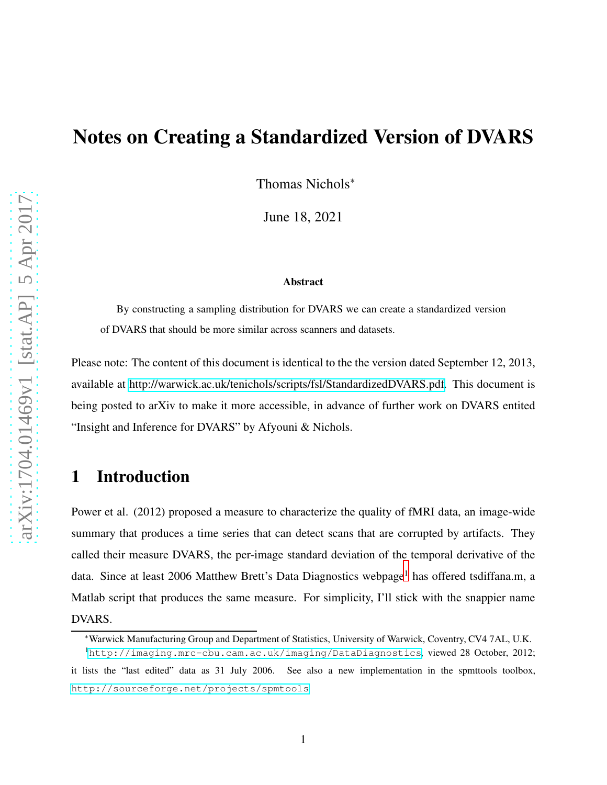# Notes on Creating a Standardized Version of DVARS

Thomas Nichols<sup>∗</sup>

June 18, 2021

#### Abstract

By constructing a sampling distribution for DVARS we can create a standardized version of DVARS that should be more similar across scanners and datasets.

Please note: The content of this document is identical to the the version dated September 12, 2013, available at [http://warwick.ac.uk/tenichols/scripts/fsl/StandardizedDVARS.pdf.](http://warwick.ac.uk/tenichols/scripts/fsl/StandardizedDVARS.pdf) This document is being posted to arXiv to make it more accessible, in advance of further work on DVARS entited "Insight and Inference for DVARS" by Afyouni & Nichols.

## 1 Introduction

Power et al. (2012) proposed a measure to characterize the quality of fMRI data, an image-wide summary that produces a time series that can detect scans that are corrupted by artifacts. They called their measure DVARS, the per-image standard deviation of the temporal derivative of the data. Since at least 2006 Matthew Brett's Data Diagnostics webpage<sup>[1](#page-0-0)</sup> has offered tsdiffana.m, a Matlab script that produces the same measure. For simplicity, I'll stick with the snappier name DVARS.

<sup>∗</sup>Warwick Manufacturing Group and Department of Statistics, University of Warwick, Coventry, CV4 7AL, U.K.

<span id="page-0-0"></span><sup>1</sup><http://imaging.mrc-cbu.cam.ac.uk/imaging/DataDiagnostics>, viewed 28 October, 2012; it lists the "last edited" data as 31 July 2006. See also a new implementation in the spmttools toolbox, <http://sourceforge.net/projects/spmtools>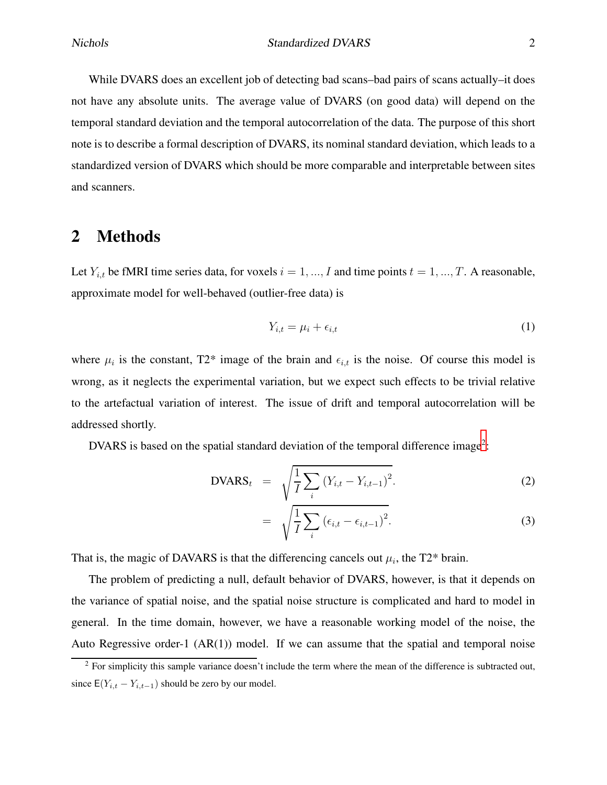While DVARS does an excellent job of detecting bad scans–bad pairs of scans actually–it does not have any absolute units. The average value of DVARS (on good data) will depend on the temporal standard deviation and the temporal autocorrelation of the data. The purpose of this short note is to describe a formal description of DVARS, its nominal standard deviation, which leads to a standardized version of DVARS which should be more comparable and interpretable between sites and scanners.

### 2 Methods

Let  $Y_{i,t}$  be fMRI time series data, for voxels  $i = 1, ..., I$  and time points  $t = 1, ..., T$ . A reasonable, approximate model for well-behaved (outlier-free data) is

$$
Y_{i,t} = \mu_i + \epsilon_{i,t} \tag{1}
$$

where  $\mu_i$  is the constant, T2\* image of the brain and  $\epsilon_{i,t}$  is the noise. Of course this model is wrong, as it neglects the experimental variation, but we expect such effects to be trivial relative to the artefactual variation of interest. The issue of drift and temporal autocorrelation will be addressed shortly.

DVARS is based on the spatial standard deviation of the temporal difference image<sup>[2](#page-1-0)</sup>:

$$
DVARS_t = \sqrt{\frac{1}{I} \sum_{i} (Y_{i,t} - Y_{i,t-1})^2}.
$$
 (2)

$$
= \sqrt{\frac{1}{I} \sum_{i} \left( \epsilon_{i,t} - \epsilon_{i,t-1} \right)^2}.
$$
 (3)

That is, the magic of DAVARS is that the differencing cancels out  $\mu_i$ , the T2\* brain.

The problem of predicting a null, default behavior of DVARS, however, is that it depends on the variance of spatial noise, and the spatial noise structure is complicated and hard to model in general. In the time domain, however, we have a reasonable working model of the noise, the Auto Regressive order-1  $(AR(1))$  model. If we can assume that the spatial and temporal noise

<span id="page-1-0"></span> $2$  For simplicity this sample variance doesn't include the term where the mean of the difference is subtracted out, since  $E(Y_{i,t} - Y_{i,t-1})$  should be zero by our model.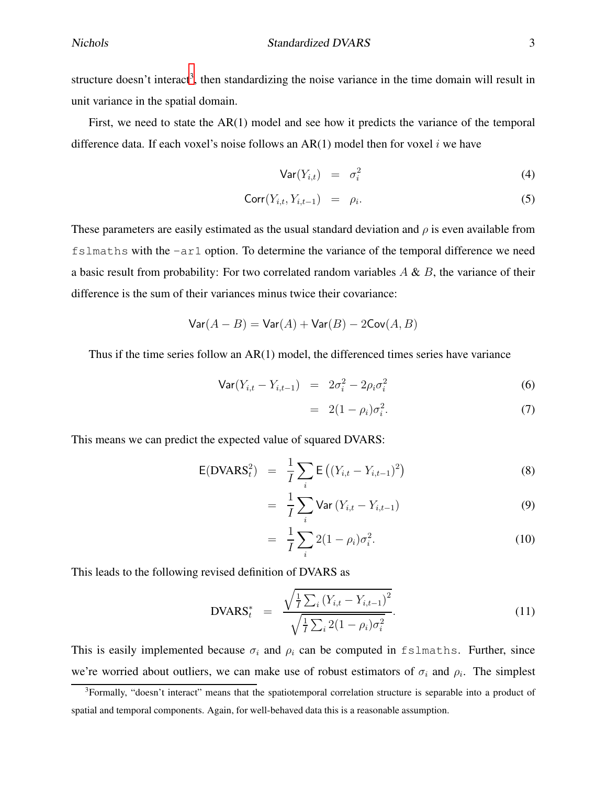structure doesn't interact<sup>[3](#page-2-0)</sup>, then standardizing the noise variance in the time domain will result in unit variance in the spatial domain.

First, we need to state the AR(1) model and see how it predicts the variance of the temporal difference data. If each voxel's noise follows an  $AR(1)$  model then for voxel i we have

$$
\text{Var}(Y_{i,t}) = \sigma_i^2 \tag{4}
$$

$$
Corr(Y_{i,t}, Y_{i,t-1}) = \rho_i. \tag{5}
$$

These parameters are easily estimated as the usual standard deviation and  $\rho$  is even available from fslmaths with the -ar1 option. To determine the variance of the temporal difference we need a basic result from probability: For two correlated random variables  $A \& B$ , the variance of their difference is the sum of their variances minus twice their covariance:

$$
\text{Var}(A - B) = \text{Var}(A) + \text{Var}(B) - 2\text{Cov}(A, B)
$$

Thus if the time series follow an AR(1) model, the differenced times series have variance

$$
Var(Y_{i,t} - Y_{i,t-1}) = 2\sigma_i^2 - 2\rho_i \sigma_i^2
$$
 (6)

$$
= 2(1 - \rho_i)\sigma_i^2. \tag{7}
$$

This means we can predict the expected value of squared DVARS:

$$
E(DVARSt2) = \frac{1}{I} \sum_{i} E\left((Y_{i,t} - Y_{i,t-1})^{2}\right)
$$
 (8)

$$
= \frac{1}{I} \sum_{i} \text{Var} (Y_{i,t} - Y_{i,t-1}) \tag{9}
$$

$$
= \frac{1}{I} \sum_{i} 2(1 - \rho_i) \sigma_i^2.
$$
 (10)

This leads to the following revised definition of DVARS as

$$
DVARS_t^* = \frac{\sqrt{\frac{1}{I} \sum_i (Y_{i,t} - Y_{i,t-1})^2}}{\sqrt{\frac{1}{I} \sum_i 2(1 - \rho_i)\sigma_i^2}}.
$$
\n(11)

This is easily implemented because  $\sigma_i$  and  $\rho_i$  can be computed in fslmaths. Further, since we're worried about outliers, we can make use of robust estimators of  $\sigma_i$  and  $\rho_i$ . The simplest

<span id="page-2-0"></span><sup>&</sup>lt;sup>3</sup>Formally, "doesn't interact" means that the spatiotemporal correlation structure is separable into a product of spatial and temporal components. Again, for well-behaved data this is a reasonable assumption.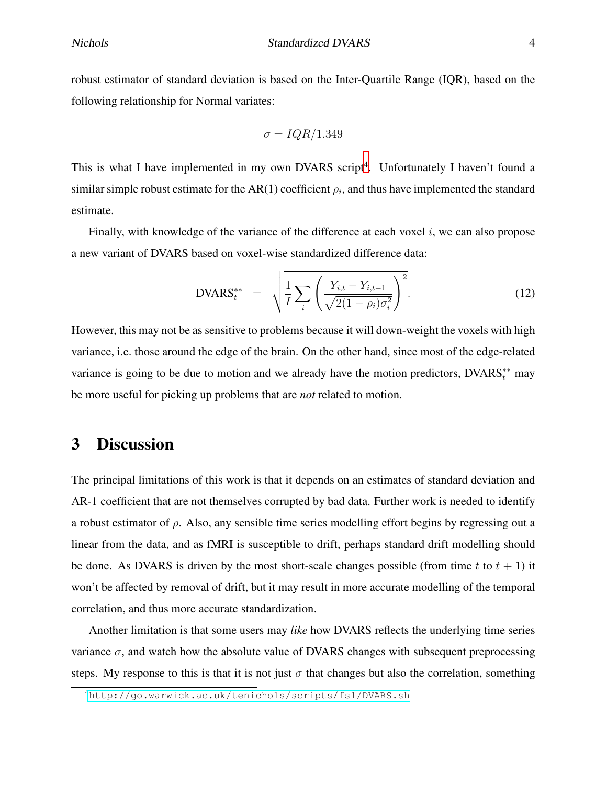robust estimator of standard deviation is based on the Inter-Quartile Range (IQR), based on the following relationship for Normal variates:

$$
\sigma = IQR/1.349
$$

This is what I have implemented in my own DVARS script<sup>[4](#page-3-0)</sup>. Unfortunately I haven't found a similar simple robust estimate for the AR(1) coefficient  $\rho_i$ , and thus have implemented the standard estimate.

Finally, with knowledge of the variance of the difference at each voxel  $i$ , we can also propose a new variant of DVARS based on voxel-wise standardized difference data:

$$
DVARS_t^{**} = \sqrt{\frac{1}{I} \sum_i \left( \frac{Y_{i,t} - Y_{i,t-1}}{\sqrt{2(1 - \rho_i)\sigma_i^2}} \right)^2}.
$$
 (12)

However, this may not be as sensitive to problems because it will down-weight the voxels with high variance, i.e. those around the edge of the brain. On the other hand, since most of the edge-related variance is going to be due to motion and we already have the motion predictors, DVARS<sup>\*\*</sup> may be more useful for picking up problems that are *not* related to motion.

## 3 Discussion

The principal limitations of this work is that it depends on an estimates of standard deviation and AR-1 coefficient that are not themselves corrupted by bad data. Further work is needed to identify a robust estimator of  $\rho$ . Also, any sensible time series modelling effort begins by regressing out a linear from the data, and as fMRI is susceptible to drift, perhaps standard drift modelling should be done. As DVARS is driven by the most short-scale changes possible (from time t to  $t + 1$ ) it won't be affected by removal of drift, but it may result in more accurate modelling of the temporal correlation, and thus more accurate standardization.

Another limitation is that some users may *like* how DVARS reflects the underlying time series variance  $\sigma$ , and watch how the absolute value of DVARS changes with subsequent preprocessing steps. My response to this is that it is not just  $\sigma$  that changes but also the correlation, something

<span id="page-3-0"></span><sup>4</sup><http://go.warwick.ac.uk/tenichols/scripts/fsl/DVARS.sh>